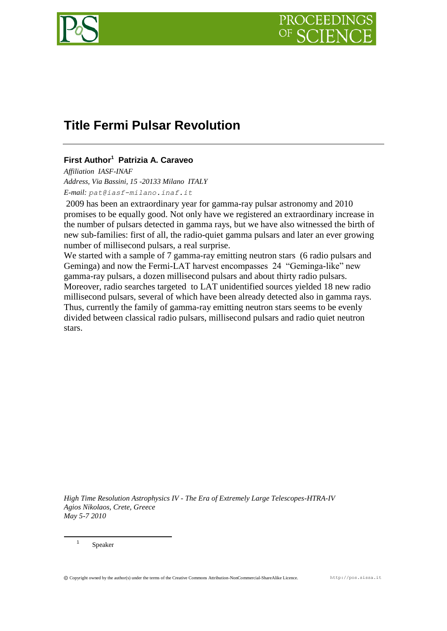

# **Title Fermi Pulsar Revolution**

## **First Author<sup>1</sup> Patrizia A. Caraveo**

*Affiliation IASF-INAF Address, Via Bassini, 15 -20133 Milano ITALY E-mail: pat@iasf-milano.inaf.it*

2009 has been an extraordinary year for gamma-ray pulsar astronomy and 2010 promises to be equally good. Not only have we registered an extraordinary increase in the number of pulsars detected in gamma rays, but we have also witnessed the birth of new sub-families: first of all, the radio-quiet gamma pulsars and later an ever growing number of millisecond pulsars, a real surprise.

We started with a sample of 7 gamma-ray emitting neutron stars (6 radio pulsars and Geminga) and now the Fermi-LAT harvest encompasses 24 "Geminga-like" new gamma-ray pulsars, a dozen millisecond pulsars and about thirty radio pulsars. Moreover, radio searches targeted to LAT unidentified sources yielded 18 new radio millisecond pulsars, several of which have been already detected also in gamma rays. Thus, currently the family of gamma-ray emitting neutron stars seems to be evenly divided between classical radio pulsars, millisecond pulsars and radio quiet neutron stars.

*High Time Resolution Astrophysics IV - The Era of Extremely Large Telescopes-HTRA-IV Agios Nikolaos, Crete, Greece May 5-7 2010*

Speaker

1 1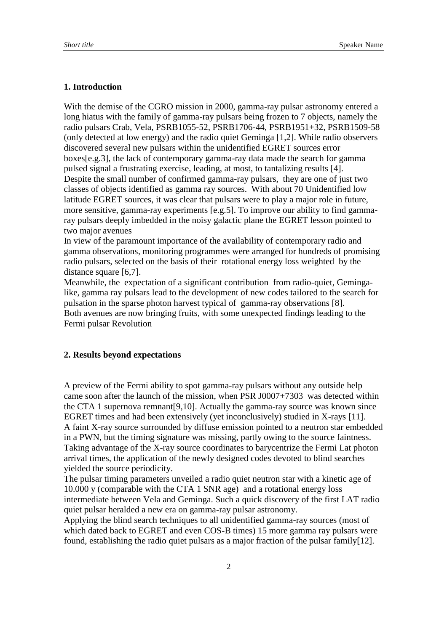## **1. Introduction**

With the demise of the CGRO mission in 2000, gamma-ray pulsar astronomy entered a long hiatus with the family of gamma-ray pulsars being frozen to 7 objects, namely the radio pulsars Crab, Vela, PSRB1055-52, PSRB1706-44, PSRB1951+32, PSRB1509-58 (only detected at low energy) and the radio quiet Geminga [1,2]. While radio observers discovered several new pulsars within the unidentified EGRET sources error boxes[e.g.3], the lack of contemporary gamma-ray data made the search for gamma pulsed signal a frustrating exercise, leading, at most, to tantalizing results [4]. Despite the small number of confirmed gamma-ray pulsars, they are one of just two classes of objects identified as gamma ray sources. With about 70 Unidentified low latitude EGRET sources, it was clear that pulsars were to play a major role in future, more sensitive, gamma-ray experiments [e.g.5]. To improve our ability to find gammaray pulsars deeply imbedded in the noisy galactic plane the EGRET lesson pointed to two major avenues

In view of the paramount importance of the availability of contemporary radio and gamma observations, monitoring programmes were arranged for hundreds of promising radio pulsars, selected on the basis of their rotational energy loss weighted by the distance square [6,7].

Meanwhile, the expectation of a significant contribution from radio-quiet, Gemingalike, gamma ray pulsars lead to the development of new codes tailored to the search for pulsation in the sparse photon harvest typical of gamma-ray observations [8]. Both avenues are now bringing fruits, with some unexpected findings leading to the Fermi pulsar Revolution

#### **2. Results beyond expectations**

A preview of the Fermi ability to spot gamma-ray pulsars without any outside help came soon after the launch of the mission, when PSR J0007+7303 was detected within the CTA 1 supernova remnant[9,10]. Actually the gamma-ray source was known since EGRET times and had been extensively (yet inconclusively) studied in X-rays [11]. A faint X-ray source surrounded by diffuse emission pointed to a neutron star embedded in a PWN, but the timing signature was missing, partly owing to the source faintness. Taking advantage of the X-ray source coordinates to barycentrize the Fermi Lat photon arrival times, the application of the newly designed codes devoted to blind searches yielded the source periodicity.

The pulsar timing parameters unveiled a radio quiet neutron star with a kinetic age of 10.000 y (comparable with the CTA 1 SNR age) and a rotational energy loss intermediate between Vela and Geminga. Such a quick discovery of the first LAT radio quiet pulsar heralded a new era on gamma-ray pulsar astronomy.

Applying the blind search techniques to all unidentified gamma-ray sources (most of which dated back to EGRET and even COS-B times) 15 more gamma ray pulsars were found, establishing the radio quiet pulsars as a major fraction of the pulsar family[12].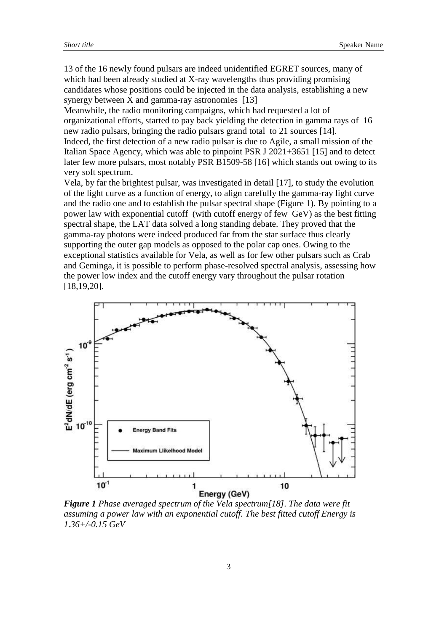13 of the 16 newly found pulsars are indeed unidentified EGRET sources, many of which had been already studied at X-ray wavelengths thus providing promising candidates whose positions could be injected in the data analysis, establishing a new synergy between X and gamma-ray astronomies [13]

Meanwhile, the radio monitoring campaigns, which had requested a lot of organizational efforts, started to pay back yielding the detection in gamma rays of 16 new radio pulsars, bringing the radio pulsars grand total to 21 sources [14].

Indeed, the first detection of a new radio pulsar is due to Agile, a small mission of the Italian Space Agency, which was able to pinpoint PSR J 2021+3651 [15] and to detect later few more pulsars, most notably PSR B1509-58 [16] which stands out owing to its very soft spectrum.

Vela, by far the brightest pulsar, was investigated in detail [17], to study the evolution of the light curve as a function of energy, to align carefully the gamma-ray light curve and the radio one and to establish the pulsar spectral shape (Figure 1). By pointing to a power law with exponential cutoff (with cutoff energy of few GeV) as the best fitting spectral shape, the LAT data solved a long standing debate. They proved that the gamma-ray photons were indeed produced far from the star surface thus clearly supporting the outer gap models as opposed to the polar cap ones. Owing to the exceptional statistics available for Vela, as well as for few other pulsars such as Crab and Geminga, it is possible to perform phase-resolved spectral analysis, assessing how the power low index and the cutoff energy vary throughout the pulsar rotation [18,19,20].



*Figure 1 Phase averaged spectrum of the Vela spectrum[18]. The data were fit assuming a power law with an exponential cutoff. The best fitted cutoff Energy is 1.36+/-0.15 GeV*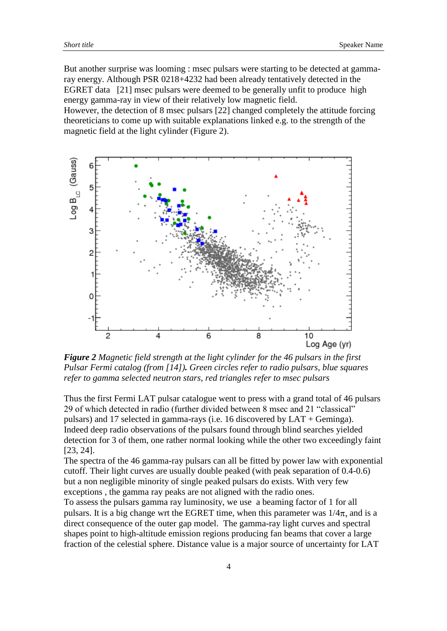But another surprise was looming : msec pulsars were starting to be detected at gammaray energy. Although PSR 0218+4232 had been already tentatively detected in the EGRET data [21] msec pulsars were deemed to be generally unfit to produce high energy gamma-ray in view of their relatively low magnetic field.

However, the detection of 8 msec pulsars [22] changed completely the attitude forcing theoreticians to come up with suitable explanations linked e.g. to the strength of the magnetic field at the light cylinder (Figure 2).



*Figure 2 Magnetic field strength at the light cylinder for the 46 pulsars in the first Pulsar Fermi catalog (from [14]). Green circles refer to radio pulsars, blue squares refer to gamma selected neutron stars, red triangles refer to msec pulsars*

Thus the first Fermi LAT pulsar catalogue went to press with a grand total of 46 pulsars 29 of which detected in radio (further divided between 8 msec and 21 "classical" pulsars) and 17 selected in gamma-rays (i.e. 16 discovered by LAT + Geminga). Indeed deep radio observations of the pulsars found through blind searches yielded detection for 3 of them, one rather normal looking while the other two exceedingly faint [23, 24].

The spectra of the 46 gamma-ray pulsars can all be fitted by power law with exponential cutoff. Their light curves are usually double peaked (with peak separation of 0.4-0.6) but a non negligible minority of single peaked pulsars do exists. With very few exceptions , the gamma ray peaks are not aligned with the radio ones.

To assess the pulsars gamma ray luminosity, we use a beaming factor of 1 for all pulsars. It is a big change wrt the EGRET time, when this parameter was  $1/4\pi$ , and is a direct consequence of the outer gap model. The gamma-ray light curves and spectral shapes point to high-altitude emission regions producing fan beams that cover a large fraction of the celestial sphere. Distance value is a major source of uncertainty for LAT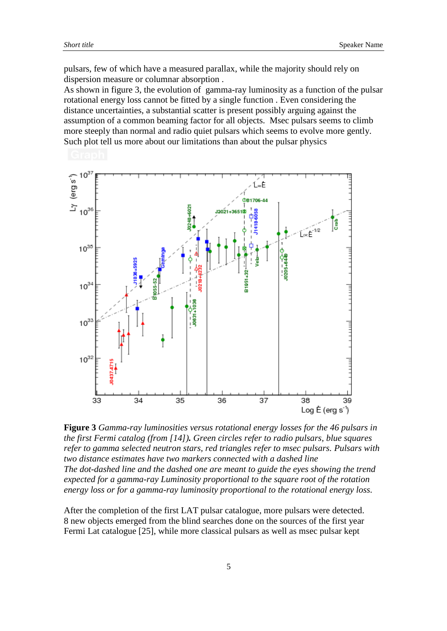pulsars, few of which have a measured parallax, while the majority should rely on dispersion measure or columnar absorption .

As shown in figure 3, the evolution of gamma-ray luminosity as a function of the pulsar rotational energy loss cannot be fitted by a single function . Even considering the distance uncertainties, a substantial scatter is present possibly arguing against the assumption of a common beaming factor for all objects. Msec pulsars seems to climb more steeply than normal and radio quiet pulsars which seems to evolve more gently. Such plot tell us more about our limitations than about the pulsar physics



**Figure 3** *Gamma-ray luminosities versus rotational energy losses for the 46 pulsars in the first Fermi catalog (from [14]). Green circles refer to radio pulsars, blue squares refer to gamma selected neutron stars, red triangles refer to msec pulsars. Pulsars with two distance estimates have two markers connected with a dashed line The dot-dashed line and the dashed one are meant to guide the eyes showing the trend expected for a gamma-ray Luminosity proportional to the square root of the rotation energy loss or for a gamma-ray luminosity proportional to the rotational energy loss.*

After the completion of the first LAT pulsar catalogue, more pulsars were detected. 8 new objects emerged from the blind searches done on the sources of the first year Fermi Lat catalogue [25], while more classical pulsars as well as msec pulsar kept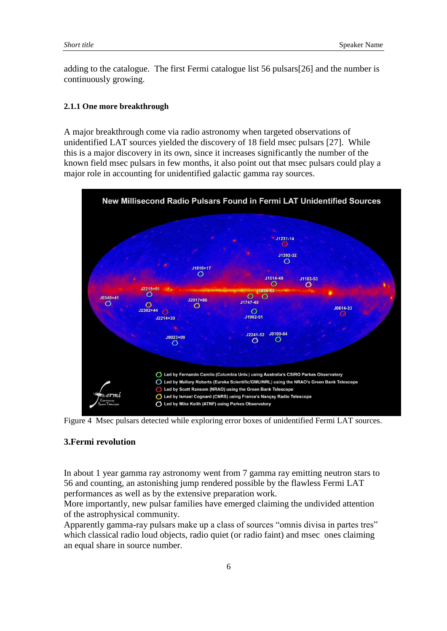adding to the catalogue. The first Fermi catalogue list 56 pulsars[26] and the number is continuously growing.

#### **2.1.1 One more breakthrough**

A major breakthrough come via radio astronomy when targeted observations of unidentified LAT sources yielded the discovery of 18 field msec pulsars [27]. While this is a major discovery in its own, since it increases significantly the number of the known field msec pulsars in few months, it also point out that msec pulsars could play a major role in accounting for unidentified galactic gamma ray sources.



Figure 4 Msec pulsars detected while exploring error boxes of unidentified Fermi LAT sources.

### **3.Fermi revolution**

In about 1 year gamma ray astronomy went from 7 gamma ray emitting neutron stars to 56 and counting, an astonishing jump rendered possible by the flawless Fermi LAT performances as well as by the extensive preparation work.

More importantly, new pulsar families have emerged claiming the undivided attention of the astrophysical community.

Apparently gamma-ray pulsars make up a class of sources "omnis divisa in partes tres" which classical radio loud objects, radio quiet (or radio faint) and msec ones claiming an equal share in source number.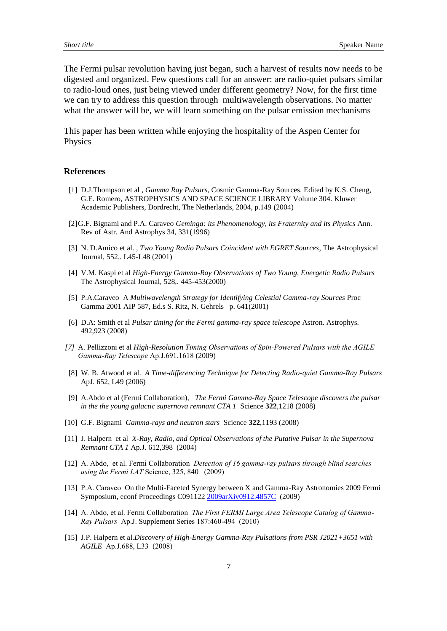The Fermi pulsar revolution having just began, such a harvest of results now needs to be digested and organized. Few questions call for an answer: are radio-quiet pulsars similar to radio-loud ones, just being viewed under different geometry? Now, for the first time we can try to address this question through multiwavelength observations. No matter what the answer will be, we will learn something on the pulsar emission mechanisms

This paper has been written while enjoying the hospitality of the Aspen Center for Physics

#### **References**

- [1] D.J.Thompson et al , *Gamma Ray Pulsars*, Cosmic Gamma-Ray Sources. Edited by K.S. Cheng, G.E. Romero, ASTROPHYSICS AND SPACE SCIENCE LIBRARY Volume 304. Kluwer Academic Publishers, Dordrecht, The Netherlands, 2004, p.149 (2004)
- [2]G.F. Bignami and P.A. Caraveo *Geminga: its Phenomenology, its Fraternity and its Physics* Ann. Rev of Astr. And Astrophys 34, 331(1996)
- [3] N. D.Amico et al. , *Two Young Radio Pulsars Coincident with EGRET Sources*, The Astrophysical Journal, 552,. L45-L48 (2001)
- [4] V.M. Kaspi et al *High-Energy Gamma-Ray Observations of Two Young, Energetic Radio Pulsars* The Astrophysical Journal, 528,. 445-453(2000)
- [5] P.A.Caraveo A *Multiwavelength Strategy for Identifying Celestial Gamma-ray Sources* Proc Gamma 2001 AIP 587, Ed.s S. Ritz, N. Gehrels p. 641(2001)
- [6] D.A: Smith et al *Pulsar timing for the Fermi gamma-ray space telescope* Astron. Astrophys. 492,923 (2008)
- *[7]* A. Pellizzoni et al *High-Resolution Timing Observations of Spin-Powered Pulsars with the AGILE Gamma-Ray Telescope* Ap.J.691,1618 (2009)
- [8] W. B. Atwood et al. *A Time-differencing Technique for Detecting Radio-quiet Gamma-Ray Pulsars* ApJ. 652, L49 (2006)
- [9] A.Abdo et al (Fermi Collaboration), *The Fermi Gamma-Ray Space Telescope discovers the pulsar in the the young galactic supernova remnant CTA 1* Science **322**,1218 (2008)
- [10] G.F. Bignami *Gamma-rays and neutron stars* Science **322**,1193 (2008)
- [11] J. Halpern et al *X-Ray, Radio, and Optical Observations of the Putative Pulsar in the Supernova Remnant CTA 1* Ap.J. 612,398 (2004)
- [12] A. Abdo, et al. Fermi Collaboration *Detection of 16 gamma-ray pulsars through blind searches using the Fermi LAT* Science, 325, 840 (2009)
- [13] P.A. Caraveo On the Multi-Faceted Synergy between X and Gamma-Ray Astronomies 2009 Fermi Symposium, econf Proceedings C09112[2 2009arXiv0912.4857C](http://adsabs.harvard.edu/abs/2009arXiv0912.4857C) (2009)
- [14] A. Abdo, et al. Fermi Collaboration *The First FERMI Large Area Telescope Catalog of Gamma-Ray Pulsars* Ap.J. Supplement Series 187:460-494 (2010)
- [15] J.P. Halpern et al.*Discovery of High-Energy Gamma-Ray Pulsations from PSR J2021+3651 with AGILE* Ap.J.688, L33 (2008)